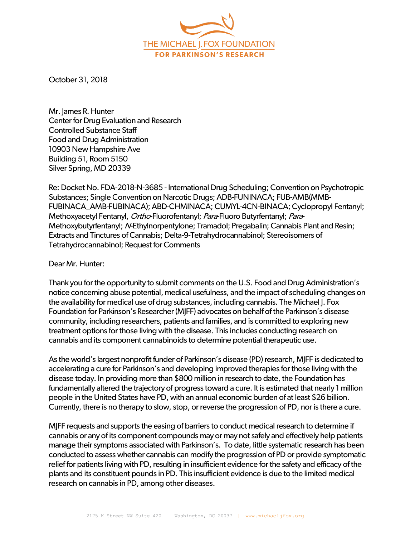

October 31, 2018

Mr. James R. Hunter Center for Drug Evaluation and Research Controlled Substance Staff Food and Drug Administration 10903 New Hampshire Ave Building 51, Room 5150 Silver Spring, MD 20339

Re: Docket No. FDA-2018-N-3685 - International Drug Scheduling; Convention on Psychotropic Substances; Single Convention on Narcotic Drugs; ADB-FUNINACA; FUB-AMB(MMB-FUBINACA\_AMB-FUBINACA); ABD-CHMINACA; CUMYL-4CN-BINACA; Cyclopropyl Fentanyl; Methoxyacetyl Fentanyl, Ortho-Fluorofentanyl; Para-Fluoro Butyrfentanyl; Para-Methoxybutyrfentanyl; N-Ethylnorpentylone; Tramadol; Pregabalin; Cannabis Plant and Resin; Extracts and Tinctures of Cannabis; Delta-9-Tetrahydrocannabinol; Stereoisomers of Tetrahydrocannabinol; Request for Comments

Dear Mr. Hunter:

Thank you for the opportunity to submit comments on the U.S. Food and Drug Administration's notice concerning abuse potential, medical usefulness, and the impact of scheduling changes on the availability for medical use of drug substances, including cannabis. The Michael J. Fox Foundation for Parkinson's Researcher (MJFF) advocates on behalf of the Parkinson's disease community, including researchers, patients and families, and is committed to exploring new treatment options for those living with the disease. This includes conducting research on cannabis and its component cannabinoids to determine potential therapeutic use.

As the world's largest nonprofit funder of Parkinson's disease (PD) research, MJFF is dedicated to accelerating a cure for Parkinson's and developing improved therapies for those living with the disease today. In providing more than \$800 million in research to date, the Foundation has fundamentally altered the trajectory of progress toward a cure. It is estimated that nearly 1 million people in the United States have PD, with an annual economic burden of at least \$26 billion. Currently, there is no therapy to slow, stop, or reverse the progression of PD, nor is there a cure.

MJFF requests and supports the easing of barriers to conduct medical research to determine if cannabis or any of its component compounds may or may not safely and effectively help patients manage their symptoms associated with Parkinson's. To date, little systematic research has been conducted to assess whether cannabis can modify the progression of PD or provide symptomatic relief for patients living with PD, resulting in insufficient evidence for the safety and efficacy of the plants and its constituent pounds in PD. This insufficient evidence is due to the limited medical research on cannabis in PD, among other diseases.